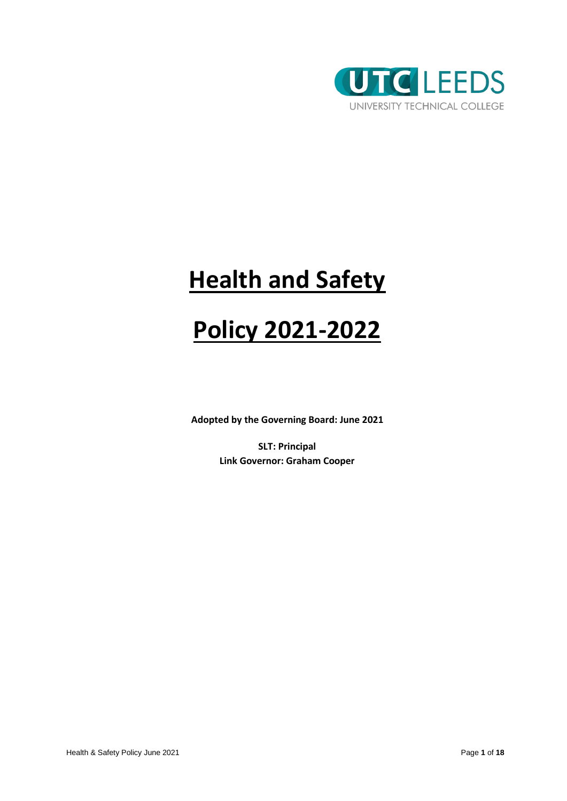

# **Health and Safety**

# **Policy 2021-2022**

**Adopted by the Governing Board: June 2021**

**SLT: Principal Link Governor: Graham Cooper**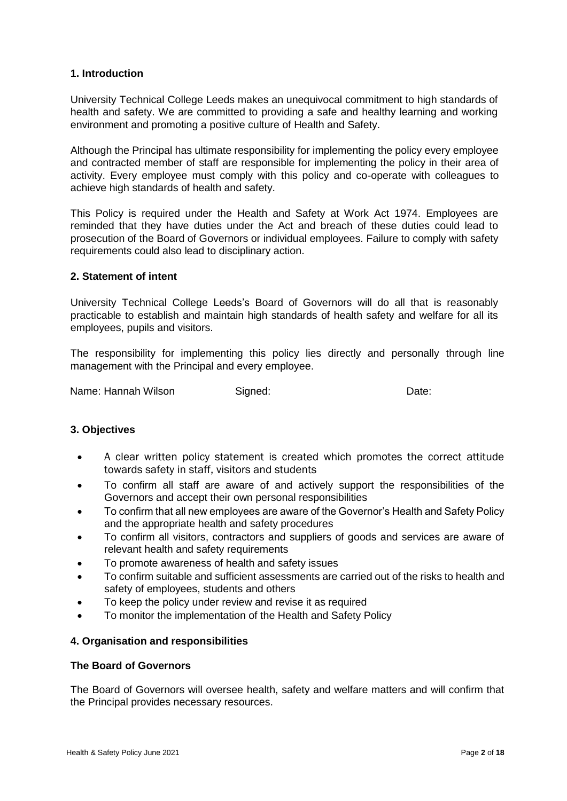# **1. Introduction**

University Technical College Leeds makes an unequivocal commitment to high standards of health and safety. We are committed to providing a safe and healthy learning and working environment and promoting a positive culture of Health and Safety.

Although the Principal has ultimate responsibility for implementing the policy every employee and contracted member of staff are responsible for implementing the policy in their area of activity. Every employee must comply with this policy and co-operate with colleagues to achieve high standards of health and safety.

This Policy is required under the Health and Safety at Work Act 1974. Employees are reminded that they have duties under the Act and breach of these duties could lead to prosecution of the Board of Governors or individual employees. Failure to comply with safety requirements could also lead to disciplinary action.

# **2. Statement of intent**

University Technical College Leeds's Board of Governors will do all that is reasonably practicable to establish and maintain high standards of health safety and welfare for all its employees, pupils and visitors.

The responsibility for implementing this policy lies directly and personally through line management with the Principal and every employee.

Name: Hannah Wilson Signed: Signed: Date:

#### **3. Objectives**

- A clear written policy statement is created which promotes the correct attitude towards safety in staff, visitors and students
- To confirm all staff are aware of and actively support the responsibilities of the Governors and accept their own personal responsibilities
- To confirm that all new employees are aware of the Governor's Health and Safety Policy and the appropriate health and safety procedures
- To confirm all visitors, contractors and suppliers of goods and services are aware of relevant health and safety requirements
- To promote awareness of health and safety issues
- To confirm suitable and sufficient assessments are carried out of the risks to health and safety of employees, students and others
- To keep the policy under review and revise it as required
- To monitor the implementation of the Health and Safety Policy

#### **4. Organisation and responsibilities**

#### **The Board of Governors**

The Board of Governors will oversee health, safety and welfare matters and will confirm that the Principal provides necessary resources.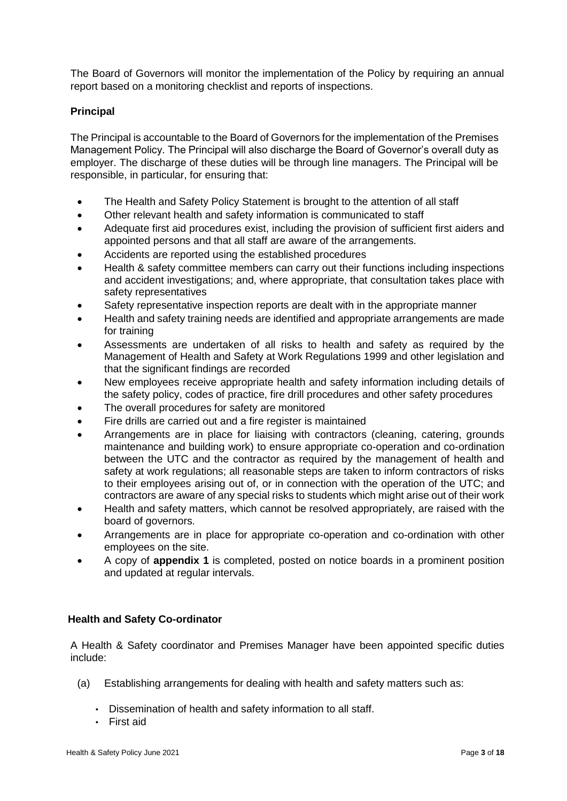The Board of Governors will monitor the implementation of the Policy by requiring an annual report based on a monitoring checklist and reports of inspections.

# **Principal**

The Principal is accountable to the Board of Governors for the implementation of the Premises Management Policy. The Principal will also discharge the Board of Governor's overall duty as employer. The discharge of these duties will be through line managers. The Principal will be responsible, in particular, for ensuring that:

- The Health and Safety Policy Statement is brought to the attention of all staff
- Other relevant health and safety information is communicated to staff
- Adequate first aid procedures exist, including the provision of sufficient first aiders and appointed persons and that all staff are aware of the arrangements.
- Accidents are reported using the established procedures
- Health & safety committee members can carry out their functions including inspections and accident investigations; and, where appropriate, that consultation takes place with safety representatives
- Safety representative inspection reports are dealt with in the appropriate manner
- Health and safety training needs are identified and appropriate arrangements are made for training
- Assessments are undertaken of all risks to health and safety as required by the Management of Health and Safety at Work Regulations 1999 and other legislation and that the significant findings are recorded
- New employees receive appropriate health and safety information including details of the safety policy, codes of practice, fire drill procedures and other safety procedures
- The overall procedures for safety are monitored
- Fire drills are carried out and a fire register is maintained
- Arrangements are in place for liaising with contractors (cleaning, catering, grounds maintenance and building work) to ensure appropriate co-operation and co-ordination between the UTC and the contractor as required by the management of health and safety at work regulations; all reasonable steps are taken to inform contractors of risks to their employees arising out of, or in connection with the operation of the UTC; and contractors are aware of any special risks to students which might arise out of their work
- Health and safety matters, which cannot be resolved appropriately, are raised with the board of governors.
- Arrangements are in place for appropriate co-operation and co-ordination with other employees on the site.
- A copy of **appendix 1** is completed, posted on notice boards in a prominent position and updated at regular intervals.

# **Health and Safety Co-ordinator**

A Health & Safety coordinator and Premises Manager have been appointed specific duties include:

- (a) Establishing arrangements for dealing with health and safety matters such as:
	- Dissemination of health and safety information to all staff.
	- First aid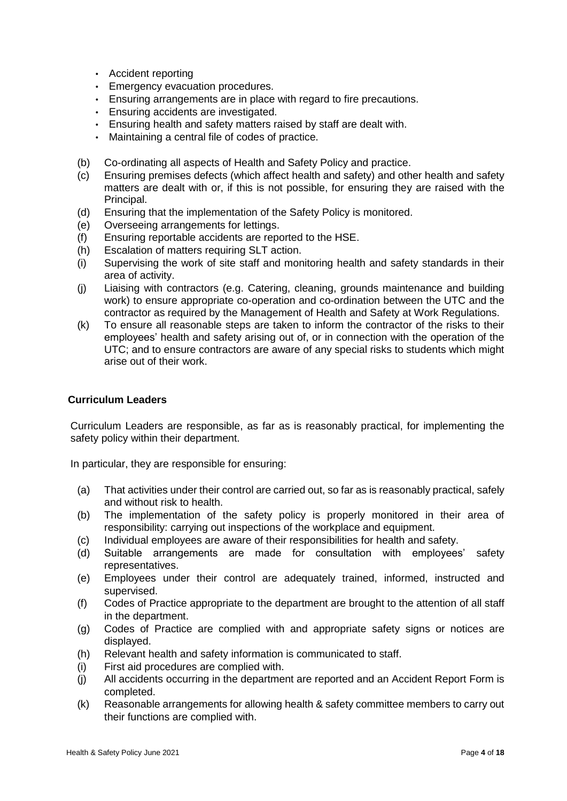- Accident reporting
- Emergency evacuation procedures.
- Ensuring arrangements are in place with regard to fire precautions.
- Ensuring accidents are investigated.
- Ensuring health and safety matters raised by staff are dealt with.
- Maintaining a central file of codes of practice.
- (b) Co-ordinating all aspects of Health and Safety Policy and practice.
- (c) Ensuring premises defects (which affect health and safety) and other health and safety matters are dealt with or, if this is not possible, for ensuring they are raised with the Principal.
- (d) Ensuring that the implementation of the Safety Policy is monitored.
- (e) Overseeing arrangements for lettings.
- (f) Ensuring reportable accidents are reported to the HSE.
- (h) Escalation of matters requiring SLT action.
- (i) Supervising the work of site staff and monitoring health and safety standards in their area of activity.
- (j) Liaising with contractors (e.g. Catering, cleaning, grounds maintenance and building work) to ensure appropriate co-operation and co-ordination between the UTC and the contractor as required by the Management of Health and Safety at Work Regulations.
- (k) To ensure all reasonable steps are taken to inform the contractor of the risks to their employees' health and safety arising out of, or in connection with the operation of the UTC; and to ensure contractors are aware of any special risks to students which might arise out of their work.

#### **Curriculum Leaders**

Curriculum Leaders are responsible, as far as is reasonably practical, for implementing the safety policy within their department.

In particular, they are responsible for ensuring:

- (a) That activities under their control are carried out, so far as is reasonably practical, safely and without risk to health.
- (b) The implementation of the safety policy is properly monitored in their area of responsibility: carrying out inspections of the workplace and equipment.
- (c) Individual employees are aware of their responsibilities for health and safety.
- (d) Suitable arrangements are made for consultation with employees' safety representatives.
- (e) Employees under their control are adequately trained, informed, instructed and supervised.
- (f) Codes of Practice appropriate to the department are brought to the attention of all staff in the department.
- (g) Codes of Practice are complied with and appropriate safety signs or notices are displayed.
- (h) Relevant health and safety information is communicated to staff.
- (i) First aid procedures are complied with.
- (j) All accidents occurring in the department are reported and an Accident Report Form is completed.
- (k) Reasonable arrangements for allowing health & safety committee members to carry out their functions are complied with.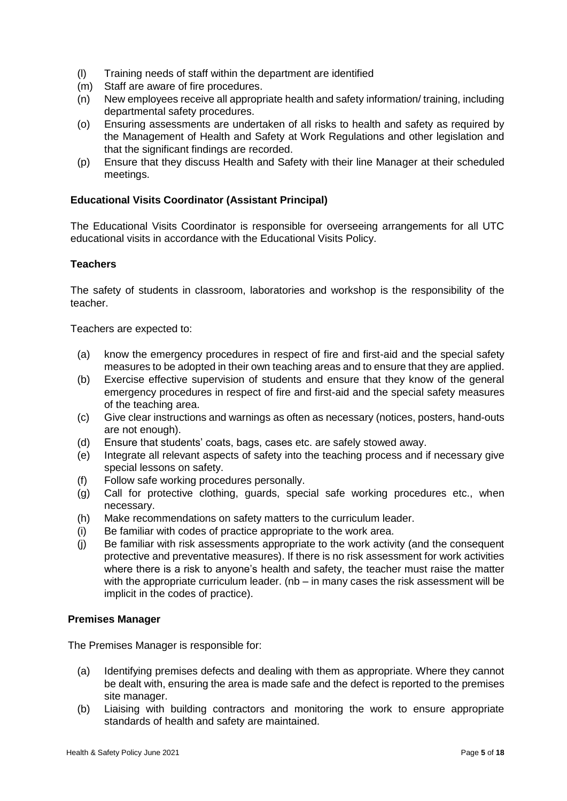- (l) Training needs of staff within the department are identified
- (m) Staff are aware of fire procedures.
- (n) New employees receive all appropriate health and safety information/ training, including departmental safety procedures.
- (o) Ensuring assessments are undertaken of all risks to health and safety as required by the Management of Health and Safety at Work Regulations and other legislation and that the significant findings are recorded.
- (p) Ensure that they discuss Health and Safety with their line Manager at their scheduled meetings.

## **Educational Visits Coordinator (Assistant Principal)**

The Educational Visits Coordinator is responsible for overseeing arrangements for all UTC educational visits in accordance with the Educational Visits Policy.

## **Teachers**

The safety of students in classroom, laboratories and workshop is the responsibility of the teacher.

Teachers are expected to:

- (a) know the emergency procedures in respect of fire and first-aid and the special safety measures to be adopted in their own teaching areas and to ensure that they are applied.
- (b) Exercise effective supervision of students and ensure that they know of the general emergency procedures in respect of fire and first-aid and the special safety measures of the teaching area.
- (c) Give clear instructions and warnings as often as necessary (notices, posters, hand-outs are not enough).
- (d) Ensure that students' coats, bags, cases etc. are safely stowed away.
- (e) Integrate all relevant aspects of safety into the teaching process and if necessary give special lessons on safety.
- (f) Follow safe working procedures personally.
- (g) Call for protective clothing, guards, special safe working procedures etc., when necessary.
- (h) Make recommendations on safety matters to the curriculum leader.
- (i) Be familiar with codes of practice appropriate to the work area.
- (j) Be familiar with risk assessments appropriate to the work activity (and the consequent protective and preventative measures). If there is no risk assessment for work activities where there is a risk to anyone's health and safety, the teacher must raise the matter with the appropriate curriculum leader. (nb - in many cases the risk assessment will be implicit in the codes of practice).

#### **Premises Manager**

The Premises Manager is responsible for:

- (a) Identifying premises defects and dealing with them as appropriate. Where they cannot be dealt with, ensuring the area is made safe and the defect is reported to the premises site manager.
- (b) Liaising with building contractors and monitoring the work to ensure appropriate standards of health and safety are maintained.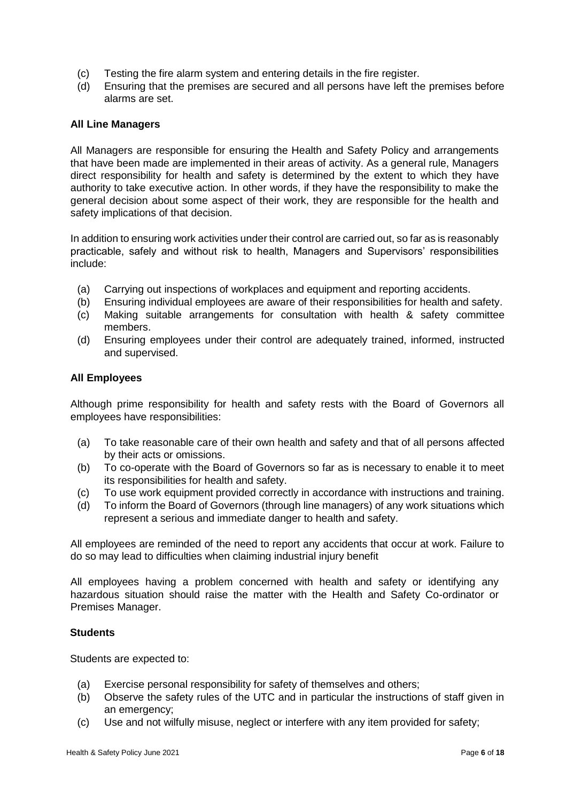- (c) Testing the fire alarm system and entering details in the fire register.
- (d) Ensuring that the premises are secured and all persons have left the premises before alarms are set.

#### **All Line Managers**

All Managers are responsible for ensuring the Health and Safety Policy and arrangements that have been made are implemented in their areas of activity. As a general rule, Managers direct responsibility for health and safety is determined by the extent to which they have authority to take executive action. In other words, if they have the responsibility to make the general decision about some aspect of their work, they are responsible for the health and safety implications of that decision.

In addition to ensuring work activities under their control are carried out, so far as is reasonably practicable, safely and without risk to health, Managers and Supervisors' responsibilities include:

- (a) Carrying out inspections of workplaces and equipment and reporting accidents.
- (b) Ensuring individual employees are aware of their responsibilities for health and safety.
- (c) Making suitable arrangements for consultation with health & safety committee members.
- (d) Ensuring employees under their control are adequately trained, informed, instructed and supervised.

#### **All Employees**

Although prime responsibility for health and safety rests with the Board of Governors all employees have responsibilities:

- (a) To take reasonable care of their own health and safety and that of all persons affected by their acts or omissions.
- (b) To co-operate with the Board of Governors so far as is necessary to enable it to meet its responsibilities for health and safety.
- (c) To use work equipment provided correctly in accordance with instructions and training.
- (d) To inform the Board of Governors (through line managers) of any work situations which represent a serious and immediate danger to health and safety.

All employees are reminded of the need to report any accidents that occur at work. Failure to do so may lead to difficulties when claiming industrial injury benefit

All employees having a problem concerned with health and safety or identifying any hazardous situation should raise the matter with the Health and Safety Co-ordinator or Premises Manager.

#### **Students**

Students are expected to:

- (a) Exercise personal responsibility for safety of themselves and others;
- (b) Observe the safety rules of the UTC and in particular the instructions of staff given in an emergency;
- (c) Use and not wilfully misuse, neglect or interfere with any item provided for safety;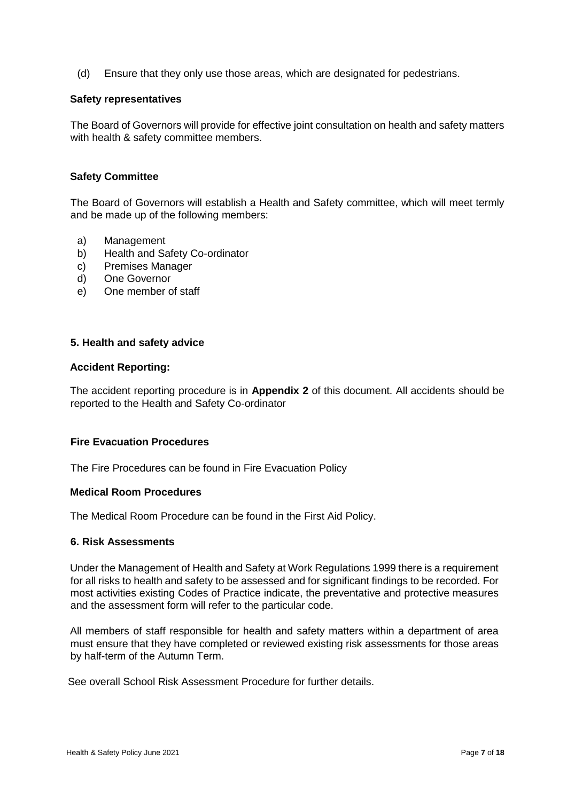(d) Ensure that they only use those areas, which are designated for pedestrians.

#### **Safety representatives**

The Board of Governors will provide for effective joint consultation on health and safety matters with health & safety committee members.

## **Safety Committee**

The Board of Governors will establish a Health and Safety committee, which will meet termly and be made up of the following members:

- a) Management
- b) Health and Safety Co-ordinator
- c) Premises Manager
- d) One Governor
- e) One member of staff

## **5. Health and safety advice**

#### **Accident Reporting:**

The accident reporting procedure is in **Appendix 2** of this document. All accidents should be reported to the Health and Safety Co-ordinator

## **Fire Evacuation Procedures**

The Fire Procedures can be found in Fire Evacuation Policy

#### **Medical Room Procedures**

The Medical Room Procedure can be found in the First Aid Policy.

#### **6. Risk Assessments**

Under the Management of Health and Safety at Work Regulations 1999 there is a requirement for all risks to health and safety to be assessed and for significant findings to be recorded. For most activities existing Codes of Practice indicate, the preventative and protective measures and the assessment form will refer to the particular code.

All members of staff responsible for health and safety matters within a department of area must ensure that they have completed or reviewed existing risk assessments for those areas by half-term of the Autumn Term.

See overall School Risk Assessment Procedure for further details.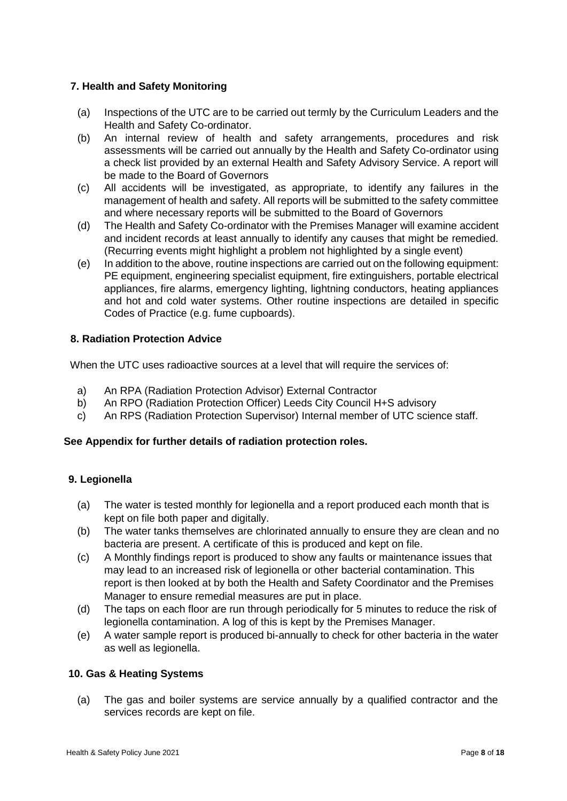# **7. Health and Safety Monitoring**

- (a) Inspections of the UTC are to be carried out termly by the Curriculum Leaders and the Health and Safety Co-ordinator.
- (b) An internal review of health and safety arrangements, procedures and risk assessments will be carried out annually by the Health and Safety Co-ordinator using a check list provided by an external Health and Safety Advisory Service. A report will be made to the Board of Governors
- (c) All accidents will be investigated, as appropriate, to identify any failures in the management of health and safety. All reports will be submitted to the safety committee and where necessary reports will be submitted to the Board of Governors
- (d) The Health and Safety Co-ordinator with the Premises Manager will examine accident and incident records at least annually to identify any causes that might be remedied. (Recurring events might highlight a problem not highlighted by a single event)
- (e) In addition to the above, routine inspections are carried out on the following equipment: PE equipment, engineering specialist equipment, fire extinguishers, portable electrical appliances, fire alarms, emergency lighting, lightning conductors, heating appliances and hot and cold water systems. Other routine inspections are detailed in specific Codes of Practice (e.g. fume cupboards).

# **8. Radiation Protection Advice**

When the UTC uses radioactive sources at a level that will require the services of:

- a) An RPA (Radiation Protection Advisor) External Contractor
- b) An RPO (Radiation Protection Officer) Leeds City Council H+S advisory
- c) An RPS (Radiation Protection Supervisor) Internal member of UTC science staff.

# **See Appendix for further details of radiation protection roles.**

# **9. Legionella**

- (a) The water is tested monthly for legionella and a report produced each month that is kept on file both paper and digitally.
- (b) The water tanks themselves are chlorinated annually to ensure they are clean and no bacteria are present. A certificate of this is produced and kept on file.
- (c) A Monthly findings report is produced to show any faults or maintenance issues that may lead to an increased risk of legionella or other bacterial contamination. This report is then looked at by both the Health and Safety Coordinator and the Premises Manager to ensure remedial measures are put in place.
- (d) The taps on each floor are run through periodically for 5 minutes to reduce the risk of legionella contamination. A log of this is kept by the Premises Manager.
- (e) A water sample report is produced bi-annually to check for other bacteria in the water as well as legionella.

# **10. Gas & Heating Systems**

(a) The gas and boiler systems are service annually by a qualified contractor and the services records are kept on file.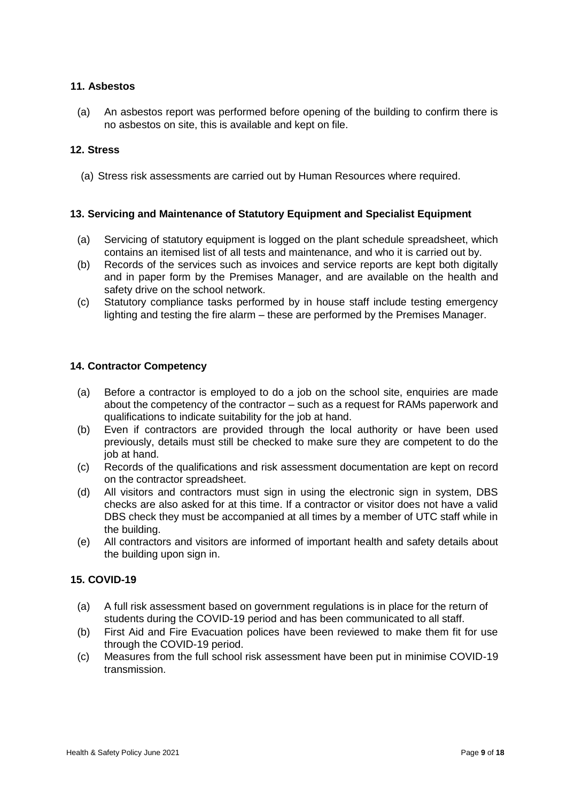## **11. Asbestos**

(a) An asbestos report was performed before opening of the building to confirm there is no asbestos on site, this is available and kept on file.

# **12. Stress**

(a) Stress risk assessments are carried out by Human Resources where required.

## **13. Servicing and Maintenance of Statutory Equipment and Specialist Equipment**

- (a) Servicing of statutory equipment is logged on the plant schedule spreadsheet, which contains an itemised list of all tests and maintenance, and who it is carried out by.
- (b) Records of the services such as invoices and service reports are kept both digitally and in paper form by the Premises Manager, and are available on the health and safety drive on the school network.
- (c) Statutory compliance tasks performed by in house staff include testing emergency lighting and testing the fire alarm – these are performed by the Premises Manager.

## **14. Contractor Competency**

- (a) Before a contractor is employed to do a job on the school site, enquiries are made about the competency of the contractor – such as a request for RAMs paperwork and qualifications to indicate suitability for the job at hand.
- (b) Even if contractors are provided through the local authority or have been used previously, details must still be checked to make sure they are competent to do the job at hand.
- (c) Records of the qualifications and risk assessment documentation are kept on record on the contractor spreadsheet.
- (d) All visitors and contractors must sign in using the electronic sign in system, DBS checks are also asked for at this time. If a contractor or visitor does not have a valid DBS check they must be accompanied at all times by a member of UTC staff while in the building.
- (e) All contractors and visitors are informed of important health and safety details about the building upon sign in.

## **15. COVID-19**

- (a) A full risk assessment based on government regulations is in place for the return of students during the COVID-19 period and has been communicated to all staff.
- (b) First Aid and Fire Evacuation polices have been reviewed to make them fit for use through the COVID-19 period.
- (c) Measures from the full school risk assessment have been put in minimise COVID-19 transmission.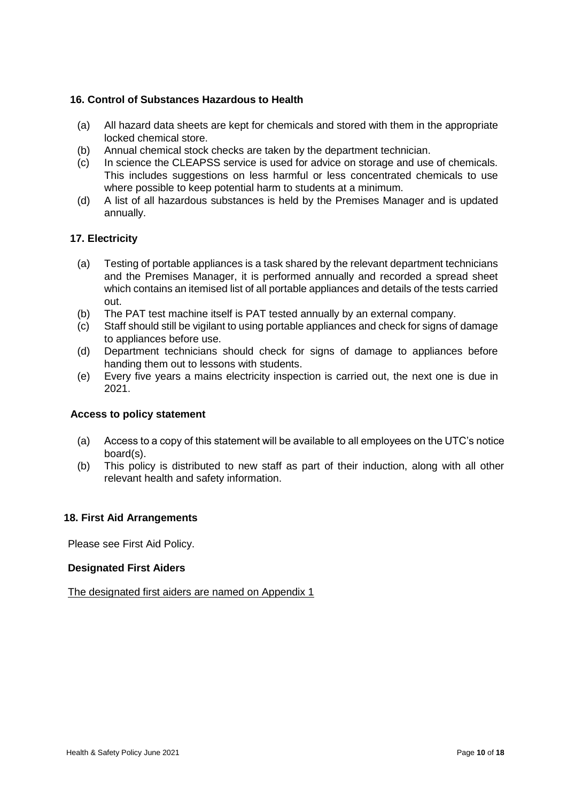# **16. Control of Substances Hazardous to Health**

- (a) All hazard data sheets are kept for chemicals and stored with them in the appropriate locked chemical store.
- (b) Annual chemical stock checks are taken by the department technician.
- (c) In science the CLEAPSS service is used for advice on storage and use of chemicals. This includes suggestions on less harmful or less concentrated chemicals to use where possible to keep potential harm to students at a minimum.
- (d) A list of all hazardous substances is held by the Premises Manager and is updated annually.

## **17. Electricity**

- (a) Testing of portable appliances is a task shared by the relevant department technicians and the Premises Manager, it is performed annually and recorded a spread sheet which contains an itemised list of all portable appliances and details of the tests carried out.
- (b) The PAT test machine itself is PAT tested annually by an external company.
- (c) Staff should still be vigilant to using portable appliances and check for signs of damage to appliances before use.
- (d) Department technicians should check for signs of damage to appliances before handing them out to lessons with students.
- (e) Every five years a mains electricity inspection is carried out, the next one is due in 2021.

#### **Access to policy statement**

- (a) Access to a copy of this statement will be available to all employees on the UTC's notice board(s).
- (b) This policy is distributed to new staff as part of their induction, along with all other relevant health and safety information.

#### **18. First Aid Arrangements**

Please see First Aid Policy.

#### **Designated First Aiders**

The designated first aiders are named on Appendix 1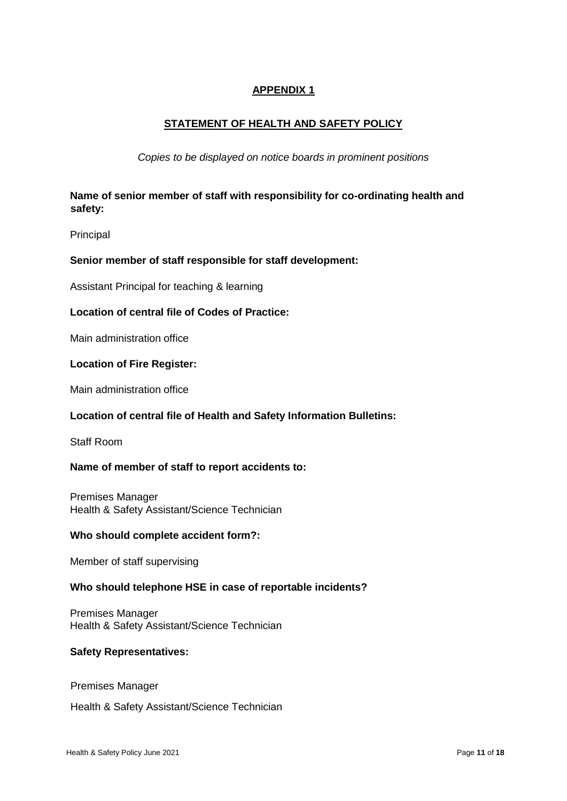# **APPENDIX 1**

# **STATEMENT OF HEALTH AND SAFETY POLICY**

*Copies to be displayed on notice boards in prominent positions* 

# **Name of senior member of staff with responsibility for co-ordinating health and safety:**

Principal

## **Senior member of staff responsible for staff development:**

Assistant Principal for teaching & learning

## **Location of central file of Codes of Practice:**

Main administration office

#### **Location of Fire Register:**

Main administration office

#### **Location of central file of Health and Safety Information Bulletins:**

Staff Room

#### **Name of member of staff to report accidents to:**

Premises Manager Health & Safety Assistant/Science Technician

#### **Who should complete accident form?:**

Member of staff supervising

#### **Who should telephone HSE in case of reportable incidents?**

Premises Manager Health & Safety Assistant/Science Technician

#### **Safety Representatives:**

Premises Manager

Health & Safety Assistant/Science Technician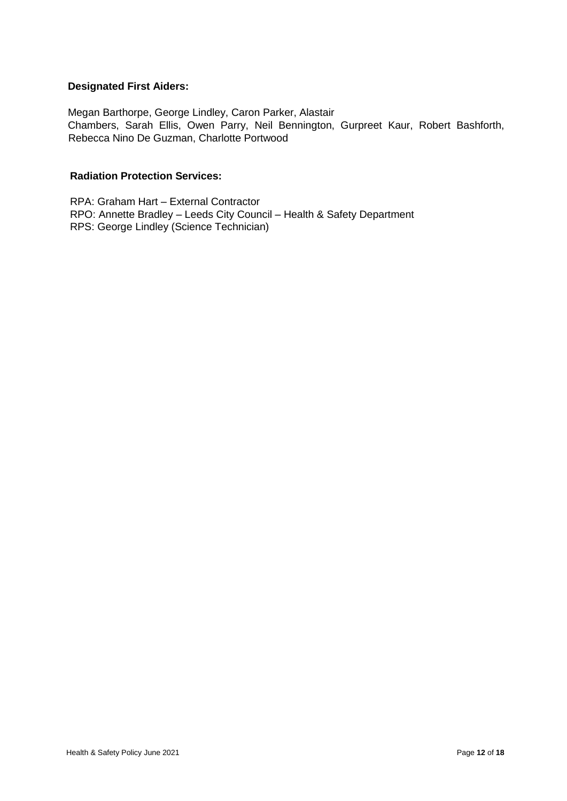# **Designated First Aiders:**

Megan Barthorpe, George Lindley, Caron Parker, Alastair Chambers, Sarah Ellis, Owen Parry, Neil Bennington, Gurpreet Kaur, Robert Bashforth, Rebecca Nino De Guzman, Charlotte Portwood

# **Radiation Protection Services:**

RPA: Graham Hart – External Contractor RPO: Annette Bradley – Leeds City Council – Health & Safety Department RPS: George Lindley (Science Technician)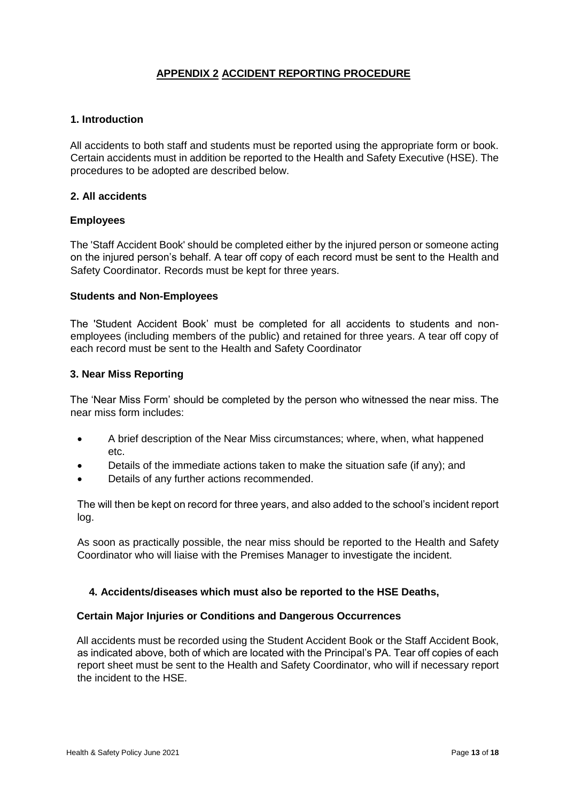# **APPENDIX 2 ACCIDENT REPORTING PROCEDURE**

## **1. Introduction**

All accidents to both staff and students must be reported using the appropriate form or book. Certain accidents must in addition be reported to the Health and Safety Executive (HSE). The procedures to be adopted are described below.

## **2. All accidents**

## **Employees**

The 'Staff Accident Book' should be completed either by the injured person or someone acting on the injured person's behalf. A tear off copy of each record must be sent to the Health and Safety Coordinator. Records must be kept for three years.

#### **Students and Non-Employees**

The 'Student Accident Book' must be completed for all accidents to students and nonemployees (including members of the public) and retained for three years. A tear off copy of each record must be sent to the Health and Safety Coordinator

## **3. Near Miss Reporting**

The 'Near Miss Form' should be completed by the person who witnessed the near miss. The near miss form includes:

- A brief description of the Near Miss circumstances; where, when, what happened etc.
- Details of the immediate actions taken to make the situation safe (if any); and
- Details of any further actions recommended.

The will then be kept on record for three years, and also added to the school's incident report log.

As soon as practically possible, the near miss should be reported to the Health and Safety Coordinator who will liaise with the Premises Manager to investigate the incident.

# **4. Accidents/diseases which must also be reported to the HSE Deaths,**

#### **Certain Major Injuries or Conditions and Dangerous Occurrences**

All accidents must be recorded using the Student Accident Book or the Staff Accident Book, as indicated above, both of which are located with the Principal's PA. Tear off copies of each report sheet must be sent to the Health and Safety Coordinator, who will if necessary report the incident to the HSE.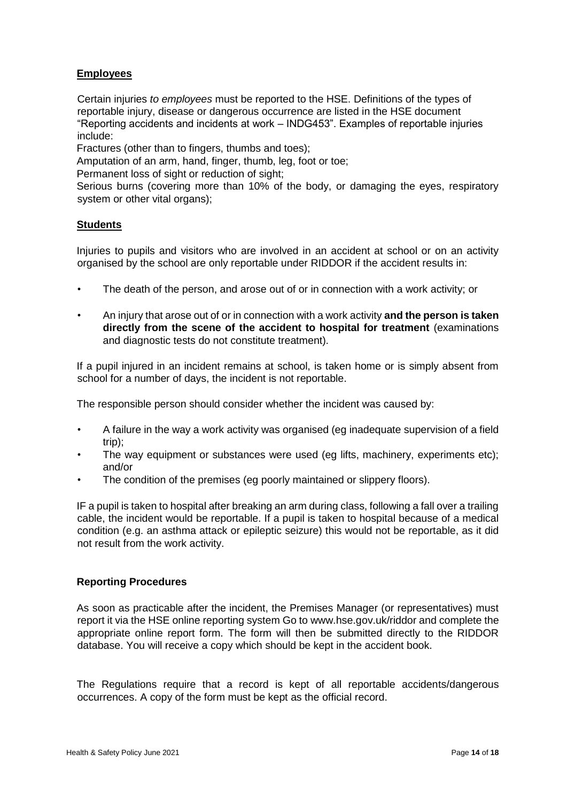# **Employees**

Certain injuries *to employees* must be reported to the HSE. Definitions of the types of reportable injury, disease or dangerous occurrence are listed in the HSE document "Reporting accidents and incidents at work – INDG453". Examples of reportable injuries include:

Fractures (other than to fingers, thumbs and toes);

Amputation of an arm, hand, finger, thumb, leg, foot or toe;

Permanent loss of sight or reduction of sight;

Serious burns (covering more than 10% of the body, or damaging the eyes, respiratory system or other vital organs);

# **Students**

Injuries to pupils and visitors who are involved in an accident at school or on an activity organised by the school are only reportable under RIDDOR if the accident results in:

- The death of the person, and arose out of or in connection with a work activity; or
- An injury that arose out of or in connection with a work activity **and the person is taken directly from the scene of the accident to hospital for treatment** (examinations and diagnostic tests do not constitute treatment).

If a pupil injured in an incident remains at school, is taken home or is simply absent from school for a number of days, the incident is not reportable.

The responsible person should consider whether the incident was caused by:

- A failure in the way a work activity was organised (eg inadequate supervision of a field trip);
- The way equipment or substances were used (eq lifts, machinery, experiments etc); and/or
- The condition of the premises (eg poorly maintained or slippery floors).

IF a pupil is taken to hospital after breaking an arm during class, following a fall over a trailing cable, the incident would be reportable. If a pupil is taken to hospital because of a medical condition (e.g. an asthma attack or epileptic seizure) this would not be reportable, as it did not result from the work activity.

# **Reporting Procedures**

As soon as practicable after the incident, the Premises Manager (or representatives) must report it via the HSE online reporting system Go to [www.hse.gov.uk/riddor an](http://www.hse.gov.uk/riddor)d complete the appropriate online report form. The form will then be submitted directly to the RIDDOR database. You will receive a copy which should be kept in the accident book.

The Regulations require that a record is kept of all reportable accidents/dangerous occurrences. A copy of the form must be kept as the official record.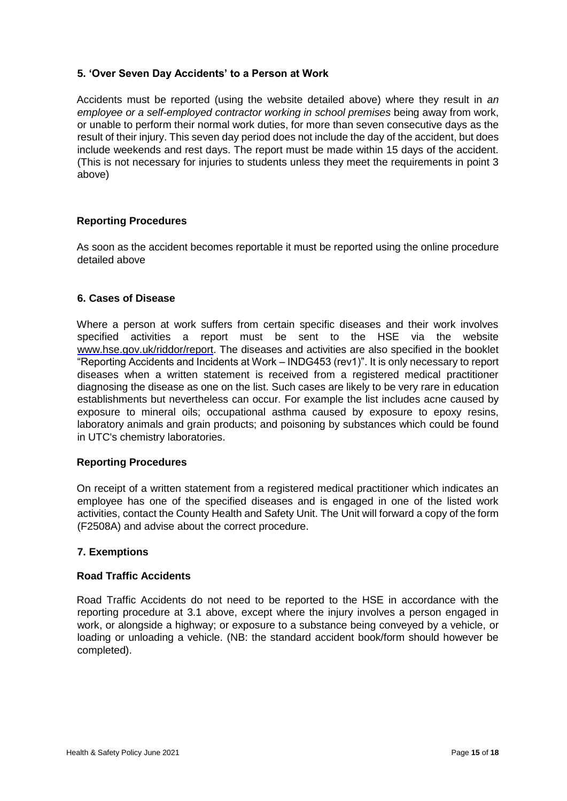# **5. 'Over Seven Day Accidents' to a Person at Work**

Accidents must be reported (using the website detailed above) where they result in *an employee or a self-employed contractor working in school premises being away from work,* or unable to perform their normal work duties, for more than seven consecutive days as the result of their injury. This seven day period does not include the day of the accident, but does include weekends and rest days. The report must be made within 15 days of the accident. (This is not necessary for injuries to students unless they meet the requirements in point 3 above)

## **Reporting Procedures**

As soon as the accident becomes reportable it must be reported using the online procedure detailed above

## **6. Cases of Disease**

Where a person at work suffers from certain specific diseases and their work involves specified activities a report must be sent to the HSE via the website [www.hse.gov.uk/riddor/report.](http://www.hse.gov.uk/riddor/report) The diseases and activities are also specified in the booklet "Reporting Accidents and Incidents at Work – INDG453 (rev1)". It is only necessary to report diseases when a written statement is received from a registered medical practitioner diagnosing the disease as one on the list. Such cases are likely to be very rare in education establishments but nevertheless can occur. For example the list includes acne caused by exposure to mineral oils; occupational asthma caused by exposure to epoxy resins, laboratory animals and grain products; and poisoning by substances which could be found in UTC's chemistry laboratories.

#### **Reporting Procedures**

On receipt of a written statement from a registered medical practitioner which indicates an employee has one of the specified diseases and is engaged in one of the listed work activities, contact the County Health and Safety Unit. The Unit will forward a copy of the form (F2508A) and advise about the correct procedure.

#### **7. Exemptions**

#### **Road Traffic Accidents**

Road Traffic Accidents do not need to be reported to the HSE in accordance with the reporting procedure at 3.1 above, except where the injury involves a person engaged in work, or alongside a highway; or exposure to a substance being conveyed by a vehicle, or loading or unloading a vehicle. (NB: the standard accident book/form should however be completed).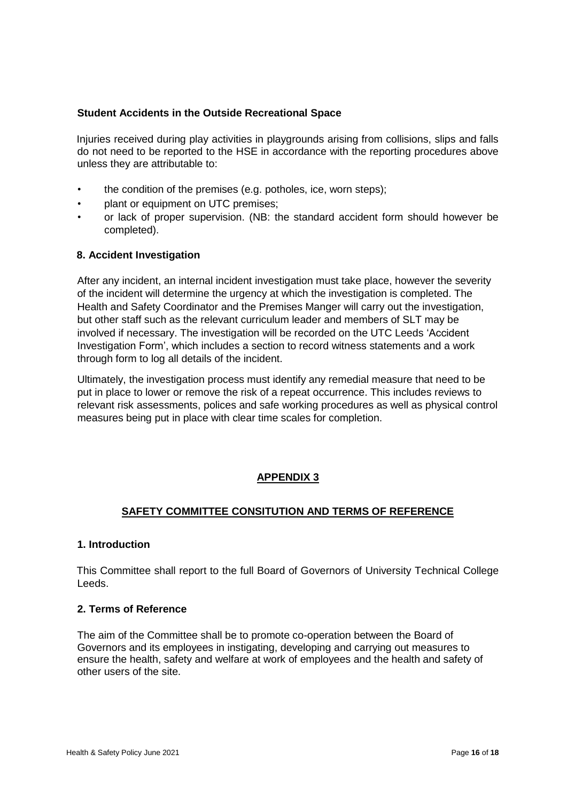## **Student Accidents in the Outside Recreational Space**

Injuries received during play activities in playgrounds arising from collisions, slips and falls do not need to be reported to the HSE in accordance with the reporting procedures above unless they are attributable to:

- the condition of the premises (e.g. potholes, ice, worn steps);
- plant or equipment on UTC premises;
- or lack of proper supervision. (NB: the standard accident form should however be completed).

## **8. Accident Investigation**

After any incident, an internal incident investigation must take place, however the severity of the incident will determine the urgency at which the investigation is completed. The Health and Safety Coordinator and the Premises Manger will carry out the investigation, but other staff such as the relevant curriculum leader and members of SLT may be involved if necessary. The investigation will be recorded on the UTC Leeds 'Accident Investigation Form', which includes a section to record witness statements and a work through form to log all details of the incident.

Ultimately, the investigation process must identify any remedial measure that need to be put in place to lower or remove the risk of a repeat occurrence. This includes reviews to relevant risk assessments, polices and safe working procedures as well as physical control measures being put in place with clear time scales for completion.

# **APPENDIX 3**

# **SAFETY COMMITTEE CONSITUTION AND TERMS OF REFERENCE**

#### **1. Introduction**

This Committee shall report to the full Board of Governors of University Technical College Leeds.

#### **2. Terms of Reference**

The aim of the Committee shall be to promote co-operation between the Board of Governors and its employees in instigating, developing and carrying out measures to ensure the health, safety and welfare at work of employees and the health and safety of other users of the site.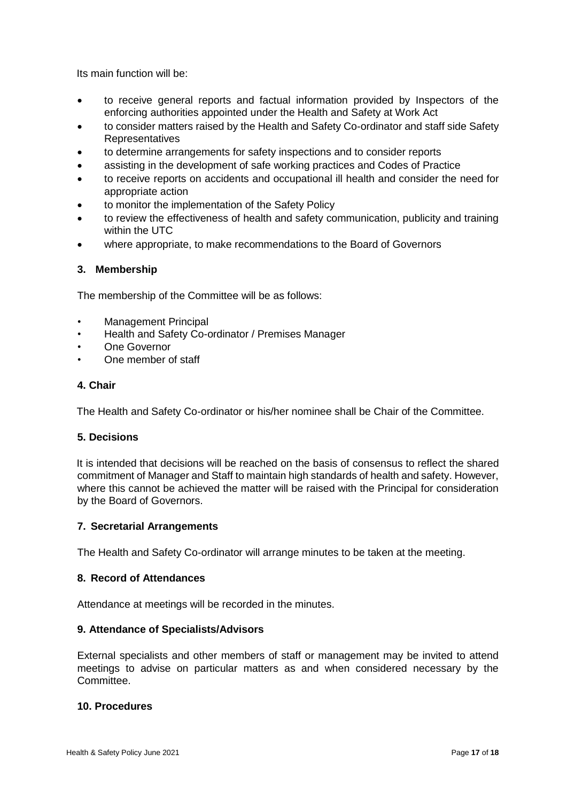Its main function will be:

- to receive general reports and factual information provided by Inspectors of the enforcing authorities appointed under the Health and Safety at Work Act
- to consider matters raised by the Health and Safety Co-ordinator and staff side Safety **Representatives**
- to determine arrangements for safety inspections and to consider reports
- assisting in the development of safe working practices and Codes of Practice
- to receive reports on accidents and occupational ill health and consider the need for appropriate action
- to monitor the implementation of the Safety Policy
- to review the effectiveness of health and safety communication, publicity and training within the UTC
- where appropriate, to make recommendations to the Board of Governors

## **3. Membership**

The membership of the Committee will be as follows:

- Management Principal
- Health and Safety Co-ordinator / Premises Manager
- **One Governor**
- One member of staff

#### **4. Chair**

The Health and Safety Co-ordinator or his/her nominee shall be Chair of the Committee.

## **5. Decisions**

It is intended that decisions will be reached on the basis of consensus to reflect the shared commitment of Manager and Staff to maintain high standards of health and safety. However, where this cannot be achieved the matter will be raised with the Principal for consideration by the Board of Governors.

#### **7. Secretarial Arrangements**

The Health and Safety Co-ordinator will arrange minutes to be taken at the meeting.

# **8. Record of Attendances**

Attendance at meetings will be recorded in the minutes.

#### **9. Attendance of Specialists/Advisors**

External specialists and other members of staff or management may be invited to attend meetings to advise on particular matters as and when considered necessary by the Committee.

# **10. Procedures**